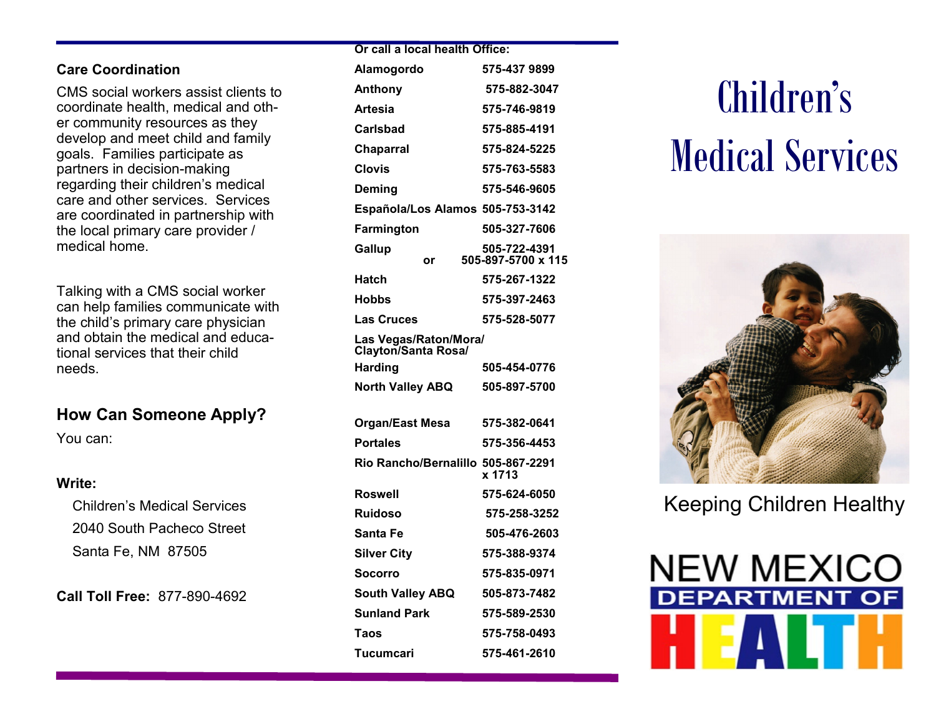#### **Care Coordination**

CMS social workers assist clients to coordinate health, medical and other community resources as they develop and meet child and family goals. Families participate as partners in decision-making regarding their children's medical care and other services. Services are coordinated in partnership with the local primary care provider / medical home.

Talking with a CMS social worker can help families communicate with the child's primary care physician and obtain the medical and educational services that their child needs.

## **How Can Someone Apply?**

You can:

## **Write:**

 Children's Medical Services 2040 South Pacheco Street Santa Fe, NM 87505

**Call Toll Free:** 877-890-4692

| Alamogordo                                   | 575-437 9899                       |
|----------------------------------------------|------------------------------------|
| Anthony                                      | 575-882-3047                       |
| <b>Artesia</b>                               | 575-746-9819                       |
| Carlsbad                                     | 575-885-4191                       |
| <b>Chaparral</b>                             | 575-824-5225                       |
| Clovis                                       | 575-763-5583                       |
| Deming                                       | 575-546-9605                       |
| Española/Los Alamos 505-753-3142             |                                    |
| Farmington                                   | 505-327-7606                       |
| Gallup<br>or                                 | 505-722-4391<br>505-897-5700 x 115 |
| Hatch                                        | 575-267-1322                       |
| Hobbs                                        | 575-397-2463                       |
| <b>Las Cruces</b>                            | 575-528-5077                       |
| Las Vegas/Raton/Mora/<br>Clayton/Santa Rosa/ |                                    |
| <b>Harding</b>                               | 505-454-0776                       |
| <b>North Valley ABQ</b>                      | 505-897-5700                       |
| Organ/East Mesa                              | 575-382-0641                       |
| <b>Portales</b>                              | 575-356-4453                       |
| Rio Rancho/Bernalillo 505-867-2291           | x 1713                             |
| Roswell                                      | 575-624-6050                       |
| <b>Ruidoso</b>                               | 575-258-3252                       |
| Santa Fe                                     | 505-476-2603                       |
| <b>Silver City</b>                           | 575-388-9374                       |
| Socorro                                      | 575-835-0971                       |
| <b>South Valley ABQ</b>                      | 505-873-7482                       |
| <b>Sunland Park</b>                          | 575-589-2530                       |
| Taos                                         | 575-758-0493                       |
| Tucumcari                                    | 575-461-2610                       |

**Or call a local health Office:**

# Children's Medical Services



Keeping Children Healthy